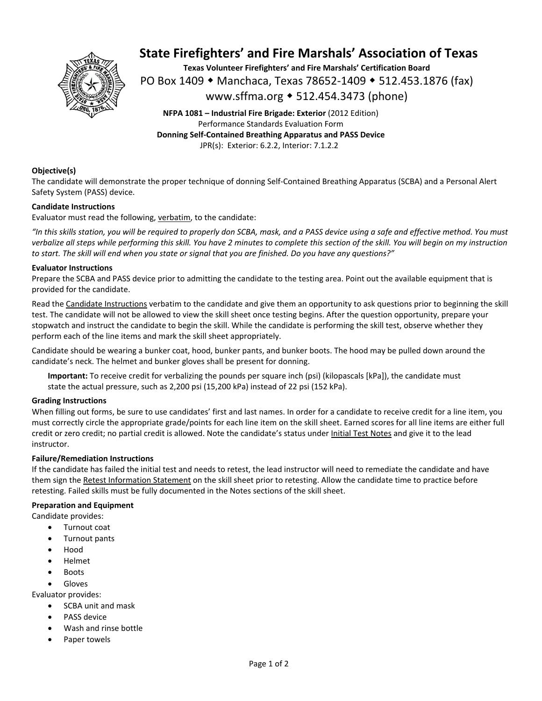

# **State Firefighters' and Fire Marshals' Association of Texas**

**Texas Volunteer Firefighters' and Fire Marshals' Certification Board**  PO Box 1409 ◆ Manchaca, Texas 78652-1409 ◆ 512.453.1876 (fax) www.sffma.org 512.454.3473 (phone)

**NFPA 1081 – Industrial Fire Brigade: Exterior** (2012 Edition) Performance Standards Evaluation Form **Donning Self‐Contained Breathing Apparatus and PASS Device**  JPR(s): Exterior: 6.2.2, Interior: 7.1.2.2

### **Objective(s)**

The candidate will demonstrate the proper technique of donning Self‐Contained Breathing Apparatus (SCBA) and a Personal Alert Safety System (PASS) device.

### **Candidate Instructions**

Evaluator must read the following, verbatim, to the candidate:

*"In this skills station, you will be required to properly don SCBA, mask, and a PASS device using a safe and effective method. You must verbalize all steps while performing this skill. You have 2 minutes to complete this section of the skill. You will begin on my instruction to start. The skill will end when you state or signal that you are finished. Do you have any questions?"* 

#### **Evaluator Instructions**

Prepare the SCBA and PASS device prior to admitting the candidate to the testing area. Point out the available equipment that is provided for the candidate.

Read the Candidate Instructions verbatim to the candidate and give them an opportunity to ask questions prior to beginning the skill test. The candidate will not be allowed to view the skill sheet once testing begins. After the question opportunity, prepare your stopwatch and instruct the candidate to begin the skill. While the candidate is performing the skill test, observe whether they perform each of the line items and mark the skill sheet appropriately.

Candidate should be wearing a bunker coat, hood, bunker pants, and bunker boots. The hood may be pulled down around the candidate's neck. The helmet and bunker gloves shall be present for donning.

**Important:** To receive credit for verbalizing the pounds per square inch (psi) (kilopascals [kPa]), the candidate must state the actual pressure, such as 2,200 psi (15,200 kPa) instead of 22 psi (152 kPa).

### **Grading Instructions**

When filling out forms, be sure to use candidates' first and last names. In order for a candidate to receive credit for a line item, you must correctly circle the appropriate grade/points for each line item on the skill sheet. Earned scores for all line items are either full credit or zero credit; no partial credit is allowed. Note the candidate's status under Initial Test Notes and give it to the lead instructor.

### **Failure/Remediation Instructions**

If the candidate has failed the initial test and needs to retest, the lead instructor will need to remediate the candidate and have them sign the Retest Information Statement on the skill sheet prior to retesting. Allow the candidate time to practice before retesting. Failed skills must be fully documented in the Notes sections of the skill sheet.

#### **Preparation and Equipment**

Candidate provides:

- Turnout coat
- Turnout pants
- Hood
- Helmet
- Boots

Gloves

Evaluator provides:

- SCBA unit and mask
- PASS device
- Wash and rinse bottle
- Paper towels